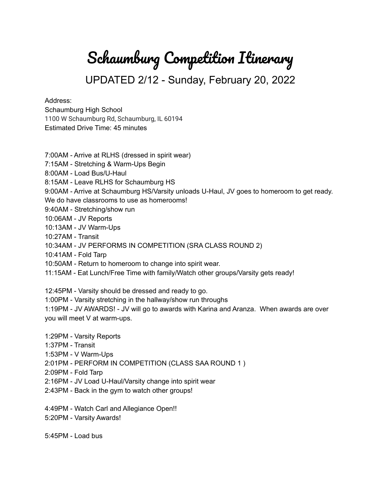## Schaumburg Competition Itinerary

UPDATED 2/12 - Sunday, February 20, 2022

## Address:

Schaumburg High School 1100 W Schaumburg Rd, Schaumburg, IL 60194 Estimated Drive Time: 45 minutes

- 7:00AM Arrive at RLHS (dressed in spirit wear)
- 7:15AM Stretching & Warm-Ups Begin
- 8:00AM Load Bus/U-Haul
- 8:15AM Leave RLHS for Schaumburg HS

9:00AM - Arrive at Schaumburg HS/Varsity unloads U-Haul, JV goes to homeroom to get ready. We do have classrooms to use as homerooms!

- 9:40AM Stretching/show run
- 10:06AM JV Reports
- 10:13AM JV Warm-Ups
- 10:27AM Transit
- 10:34AM JV PERFORMS IN COMPETITION (SRA CLASS ROUND 2)
- 10:41AM Fold Tarp
- 10:50AM Return to homeroom to change into spirit wear.
- 11:15AM Eat Lunch/Free Time with family/Watch other groups/Varsity gets ready!
- 12:45PM Varsity should be dressed and ready to go.
- 1:00PM Varsity stretching in the hallway/show run throughs

1:19PM - JV AWARDS! - JV will go to awards with Karina and Aranza. When awards are over you will meet V at warm-ups.

- 1:29PM Varsity Reports
- 1:37PM Transit
- 1:53PM V Warm-Ups
- 2:01PM PERFORM IN COMPETITION (CLASS SAA ROUND 1 )
- 2:09PM Fold Tarp
- 2:16PM JV Load U-Haul/Varsity change into spirit wear
- 2:43PM Back in the gym to watch other groups!
- 4:49PM Watch Carl and Allegiance Open!!
- 5:20PM Varsity Awards!

5:45PM - Load bus